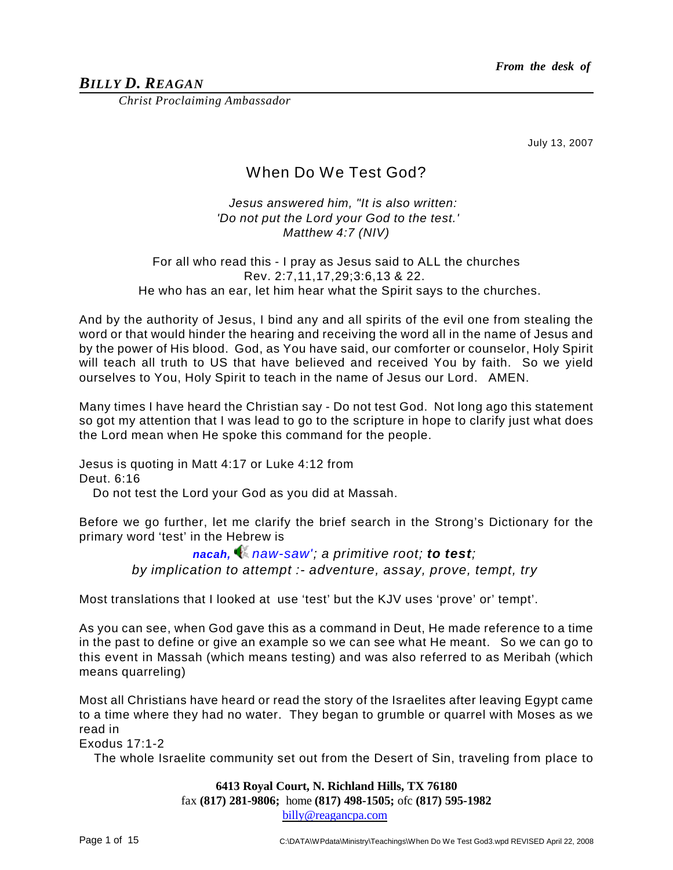# *BILLY D. REAGAN*

*Christ Proclaiming Ambassador*

July 13, 2007

# When Do We Test God?

# *Jesus answered him, "It is also written: 'Do not put the Lord your God to the test.' Matthew 4:7 (NIV)*

## For all who read this - I pray as Jesus said to ALL the churches Rev. 2:7,11,17,29;3:6,13 & 22. He who has an ear, let him hear what the Spirit says to the churches.

And by the authority of Jesus, I bind any and all spirits of the evil one from stealing the word or that would hinder the hearing and receiving the word all in the name of Jesus and by the power of His blood. God, as You have said, our comforter or counselor, Holy Spirit will teach all truth to US that have believed and received You by faith. So we yield ourselves to You, Holy Spirit to teach in the name of Jesus our Lord. AMEN.

Many times I have heard the Christian say - Do not test God. Not long ago this statement so got my attention that I was lead to go to the scripture in hope to clarify just what does the Lord mean when He spoke this command for the people.

Jesus is quoting in Matt 4:17 or Luke 4:12 from Deut. 6:16

Do not test the Lord your God as you did at Massah.

Before we go further, let me clarify the brief search in the Strong's Dictionary for the primary word 'test' in the Hebrew is

> *nacah, naw-saw'; a primitive root; to test; by implication to attempt :- adventure, assay, prove, tempt, try*

Most translations that I looked at use 'test' but the KJV uses 'prove' or' tempt'.

As you can see, when God gave this as a command in Deut, He made reference to a time in the past to define or give an example so we can see what He meant. So we can go to this event in Massah (which means testing) and was also referred to as Meribah (which means quarreling)

Most all Christians have heard or read the story of the Israelites after leaving Egypt came to a time where they had no water. They began to grumble or quarrel with Moses as we read in

Exodus 17:1-2

The whole Israelite community set out from the Desert of Sin, traveling from place to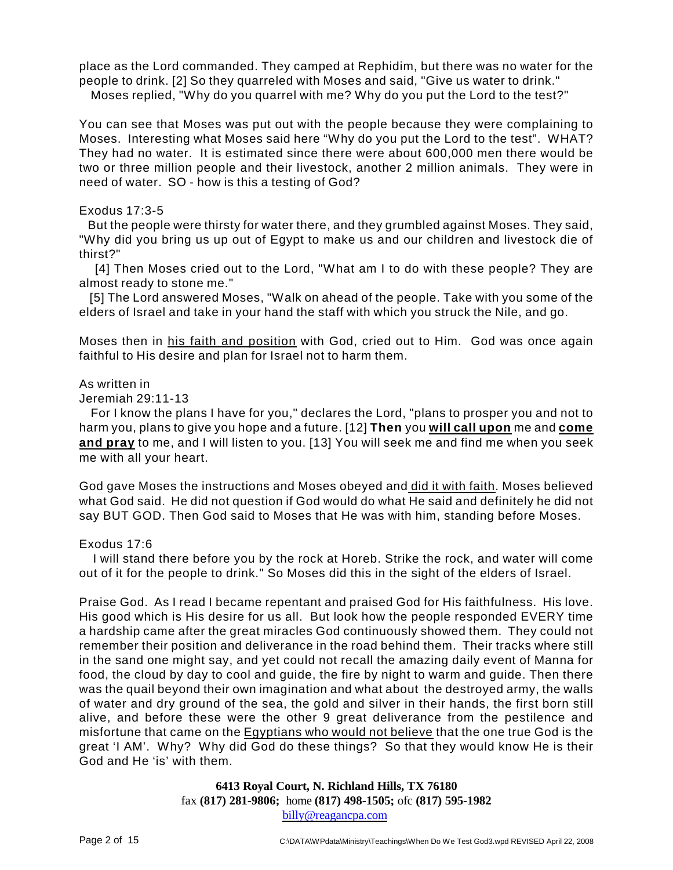place as the Lord commanded. They camped at Rephidim, but there was no water for the people to drink. [2] So they quarreled with Moses and said, "Give us water to drink." Moses replied, "Why do you quarrel with me? Why do you put the Lord to the test?"

You can see that Moses was put out with the people because they were complaining to Moses. Interesting what Moses said here "Why do you put the Lord to the test". WHAT? They had no water. It is estimated since there were about 600,000 men there would be two or three million people and their livestock, another 2 million animals. They were in need of water. SO - how is this a testing of God?

## Exodus 17:3-5

But the people were thirsty for water there, and they grumbled against Moses. They said, "Why did you bring us up out of Egypt to make us and our children and livestock die of thirst?"

[4] Then Moses cried out to the Lord, "What am I to do with these people? They are almost ready to stone me."

[5] The Lord answered Moses, "Walk on ahead of the people. Take with you some of the elders of Israel and take in your hand the staff with which you struck the Nile, and go.

Moses then in his faith and position with God, cried out to Him. God was once again faithful to His desire and plan for Israel not to harm them.

## As written in

Jeremiah 29:11-13

For I know the plans I have for you," declares the Lord, "plans to prosper you and not to harm you, plans to give you hope and a future. [12] **Then** you **will call upon** me and **come and pray** to me, and I will listen to you. [13] You will seek me and find me when you seek me with all your heart.

God gave Moses the instructions and Moses obeyed and did it with faith. Moses believed what God said. He did not question if God would do what He said and definitely he did not say BUT GOD. Then God said to Moses that He was with him, standing before Moses.

## Exodus 17:6

I will stand there before you by the rock at Horeb. Strike the rock, and water will come out of it for the people to drink." So Moses did this in the sight of the elders of Israel.

Praise God. As I read I became repentant and praised God for His faithfulness. His love. His good which is His desire for us all. But look how the people responded EVERY time a hardship came after the great miracles God continuously showed them. They could not remember their position and deliverance in the road behind them. Their tracks where still in the sand one might say, and yet could not recall the amazing daily event of Manna for food, the cloud by day to cool and guide, the fire by night to warm and guide. Then there was the quail beyond their own imagination and what about the destroyed army, the walls of water and dry ground of the sea, the gold and silver in their hands, the first born still alive, and before these were the other 9 great deliverance from the pestilence and misfortune that came on the Egyptians who would not believe that the one true God is the great 'I AM'. Why? Why did God do these things? So that they would know He is their God and He 'is' with them.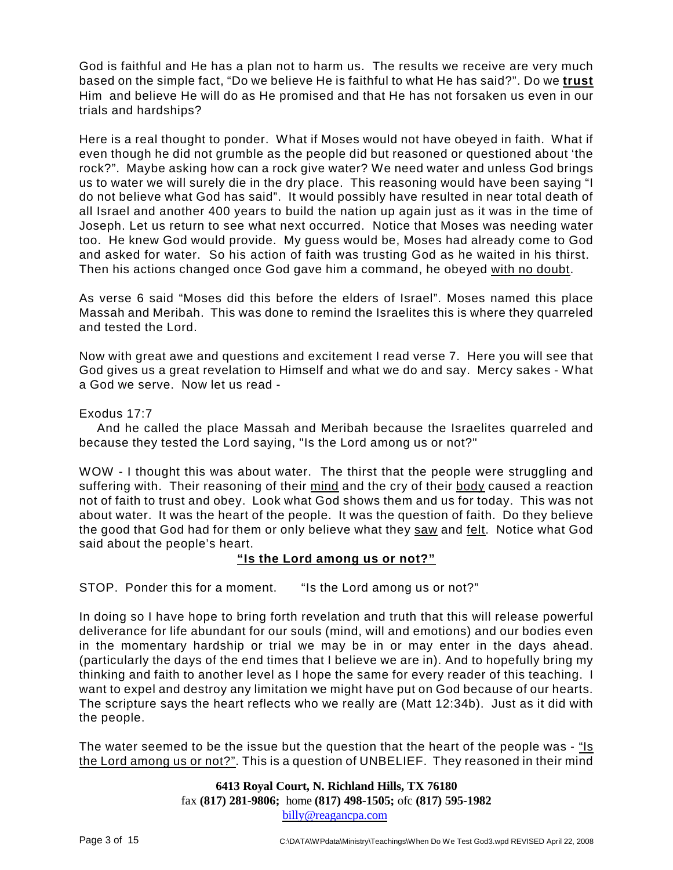God is faithful and He has a plan not to harm us. The results we receive are very much based on the simple fact, "Do we believe He is faithful to what He has said?". Do we **trust** Him and believe He will do as He promised and that He has not forsaken us even in our trials and hardships?

Here is a real thought to ponder. What if Moses would not have obeyed in faith. What if even though he did not grumble as the people did but reasoned or questioned about 'the rock?". Maybe asking how can a rock give water? We need water and unless God brings us to water we will surely die in the dry place. This reasoning would have been saying "I do not believe what God has said". It would possibly have resulted in near total death of all Israel and another 400 years to build the nation up again just as it was in the time of Joseph. Let us return to see what next occurred. Notice that Moses was needing water too. He knew God would provide. My guess would be, Moses had already come to God and asked for water. So his action of faith was trusting God as he waited in his thirst. Then his actions changed once God gave him a command, he obeyed with no doubt.

As verse 6 said "Moses did this before the elders of Israel". Moses named this place Massah and Meribah. This was done to remind the Israelites this is where they quarreled and tested the Lord.

Now with great awe and questions and excitement I read verse 7. Here you will see that God gives us a great revelation to Himself and what we do and say. Mercy sakes - What a God we serve. Now let us read -

## Exodus 17:7

And he called the place Massah and Meribah because the Israelites quarreled and because they tested the Lord saying, "Is the Lord among us or not?"

WOW - I thought this was about water. The thirst that the people were struggling and suffering with. Their reasoning of their mind and the cry of their body caused a reaction not of faith to trust and obey. Look what God shows them and us for today. This was not about water. It was the heart of the people. It was the question of faith. Do they believe the good that God had for them or only believe what they saw and felt. Notice what God said about the people's heart.

# **"Is the Lord among us or not?"**

STOP. Ponder this for a moment. "Is the Lord among us or not?"

In doing so I have hope to bring forth revelation and truth that this will release powerful deliverance for life abundant for our souls (mind, will and emotions) and our bodies even in the momentary hardship or trial we may be in or may enter in the days ahead. (particularly the days of the end times that I believe we are in). And to hopefully bring my thinking and faith to another level as I hope the same for every reader of this teaching. I want to expel and destroy any limitation we might have put on God because of our hearts. The scripture says the heart reflects who we really are (Matt 12:34b). Just as it did with the people.

The water seemed to be the issue but the question that the heart of the people was - "Is the Lord among us or not?". This is a question of UNBELIEF. They reasoned in their mind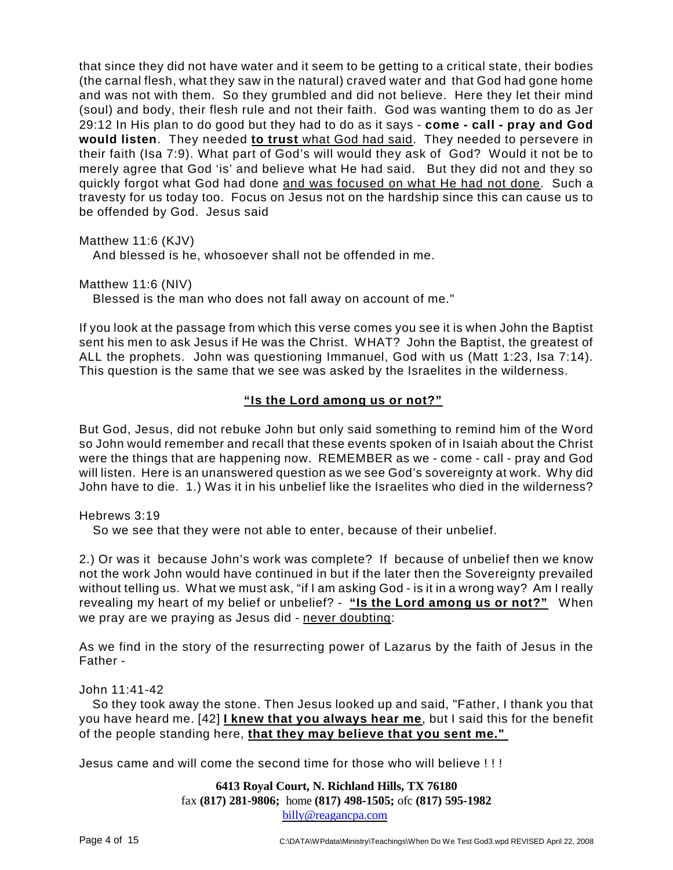that since they did not have water and it seem to be getting to a critical state, their bodies (the carnal flesh, what they saw in the natural) craved water and that God had gone home and was not with them. So they grumbled and did not believe. Here they let their mind (soul) and body, their flesh rule and not their faith. God was wanting them to do as Jer 29:12 In His plan to do good but they had to do as it says - **come - call - pray and God would listen**. They needed **to trust** what God had said. They needed to persevere in their faith (Isa 7:9). What part of God's will would they ask of God? Would it not be to merely agree that God 'is' and believe what He had said. But they did not and they so quickly forgot what God had done and was focused on what He had not done. Such a travesty for us today too. Focus on Jesus not on the hardship since this can cause us to be offended by God. Jesus said

Matthew 11:6 (KJV)

And blessed is he, whosoever shall not be offended in me.

Matthew 11:6 (NIV)

Blessed is the man who does not fall away on account of me."

If you look at the passage from which this verse comes you see it is when John the Baptist sent his men to ask Jesus if He was the Christ. WHAT? John the Baptist, the greatest of ALL the prophets. John was questioning Immanuel, God with us (Matt 1:23, Isa 7:14). This question is the same that we see was asked by the Israelites in the wilderness.

# **"Is the Lord among us or not?"**

But God, Jesus, did not rebuke John but only said something to remind him of the Word so John would remember and recall that these events spoken of in Isaiah about the Christ were the things that are happening now. REMEMBER as we - come - call - pray and God will listen. Here is an unanswered question as we see God's sovereignty at work. Why did John have to die. 1.) Was it in his unbelief like the Israelites who died in the wilderness?

Hebrews 3:19

So we see that they were not able to enter, because of their unbelief.

2.) Or was it because John's work was complete? If because of unbelief then we know not the work John would have continued in but if the later then the Sovereignty prevailed without telling us. What we must ask, "if I am asking God - is it in a wrong way? Am I really revealing my heart of my belief or unbelief? - **"Is the Lord among us or not?"** When we pray are we praying as Jesus did - never doubting:

As we find in the story of the resurrecting power of Lazarus by the faith of Jesus in the Father -

## John 11:41-42

So they took away the stone. Then Jesus looked up and said, "Father, I thank you that you have heard me. [42] **I knew that you always hear me**, but I said this for the benefit of the people standing here, **that they may believe that you sent me."** 

Jesus came and will come the second time for those who will believe ! ! !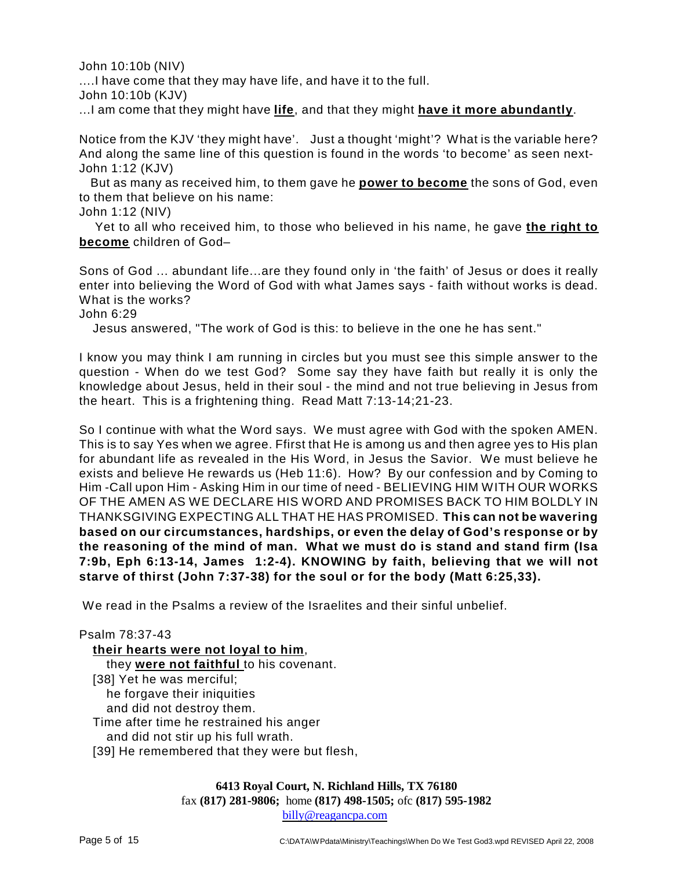John 10:10b (NIV)

....I have come that they may have life, and have it to the full.

John 10:10b (KJV)

...I am come that they might have **life**, and that they might **have it more abundantly**.

Notice from the KJV 'they might have'. Just a thought 'might'? What is the variable here? And along the same line of this question is found in the words 'to become' as seen next-John 1:12 (KJV)

But as many as received him, to them gave he **power to become** the sons of God, even to them that believe on his name:

John 1:12 (NIV)

Yet to all who received him, to those who believed in his name, he gave **the right to become** children of God–

Sons of God ... abundant life...are they found only in 'the faith' of Jesus or does it really enter into believing the Word of God with what James says - faith without works is dead. What is the works?

John 6:29

Jesus answered, "The work of God is this: to believe in the one he has sent."

I know you may think I am running in circles but you must see this simple answer to the question - When do we test God? Some say they have faith but really it is only the knowledge about Jesus, held in their soul - the mind and not true believing in Jesus from the heart. This is a frightening thing. Read Matt 7:13-14;21-23.

So I continue with what the Word says. We must agree with God with the spoken AMEN. This is to say Yes when we agree. Ffirst that He is among us and then agree yes to His plan for abundant life as revealed in the His Word, in Jesus the Savior. We must believe he exists and believe He rewards us (Heb 11:6). How? By our confession and by Coming to Him -Call upon Him - Asking Him in our time of need - BELIEVING HIM WITH OUR WORKS OF THE AMEN AS WE DECLARE HIS WORD AND PROMISES BACK TO HIM BOLDLY IN THANKSGIVING EXPECTING ALL THAT HE HAS PROMISED. **This can not be wavering based on our circumstances, hardships, or even the delay of God's response or by the reasoning of the mind of man. What we must do is stand and stand firm (Isa 7:9b, Eph 6:13-14, James 1:2-4). KNOWING by faith, believing that we will not starve of thirst (John 7:37-38) for the soul or for the body (Matt 6:25,33).**

We read in the Psalms a review of the Israelites and their sinful unbelief.

| Psalm 78:37-43                               |
|----------------------------------------------|
| their hearts were not loyal to him,          |
| they were not faithful to his covenant.      |
| [38] Yet he was merciful;                    |
| he forgave their iniquities                  |
| and did not destroy them.                    |
| Time after time he restrained his anger      |
| and did not stir up his full wrath.          |
| [39] He remembered that they were but flesh, |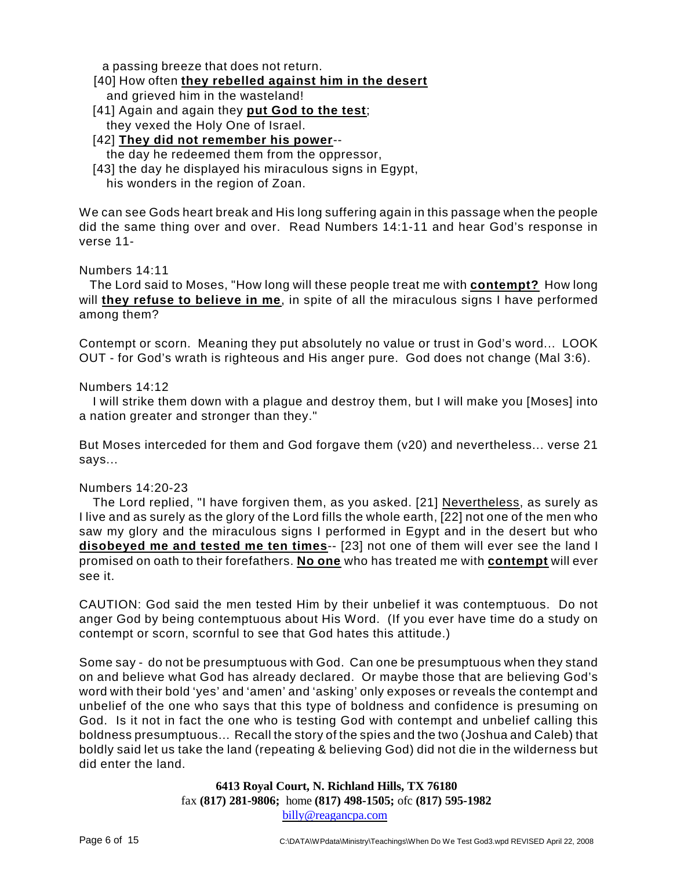a passing breeze that does not return.

- [40] How often **they rebelled against him in the desert** and grieved him in the wasteland!
- [41] Again and again they **put God to the test**; they vexed the Holy One of Israel.
- [42] **They did not remember his power** the day he redeemed them from the oppressor,
- [43] the day he displayed his miraculous signs in Egypt,
	- his wonders in the region of Zoan.

We can see Gods heart break and His long suffering again in this passage when the people did the same thing over and over. Read Numbers 14:1-11 and hear God's response in verse 11-

Numbers 14:11

The Lord said to Moses, "How long will these people treat me with **contempt?** How long will **they refuse to believe in me**, in spite of all the miraculous signs I have performed among them?

Contempt or scorn. Meaning they put absolutely no value or trust in God's word... LOOK OUT - for God's wrath is righteous and His anger pure. God does not change (Mal 3:6).

Numbers 14:12

I will strike them down with a plague and destroy them, but I will make you [Moses] into a nation greater and stronger than they."

But Moses interceded for them and God forgave them (v20) and nevertheless... verse 21 says...

## Numbers 14:20-23

The Lord replied, "I have forgiven them, as you asked. [21] Nevertheless, as surely as I live and as surely as the glory of the Lord fills the whole earth, [22] not one of the men who saw my glory and the miraculous signs I performed in Egypt and in the desert but who **disobeyed me and tested me ten times**-- [23] not one of them will ever see the land I promised on oath to their forefathers. **No one** who has treated me with **contempt** will ever see it.

CAUTION: God said the men tested Him by their unbelief it was contemptuous. Do not anger God by being contemptuous about His Word. (If you ever have time do a study on contempt or scorn, scornful to see that God hates this attitude.)

Some say - do not be presumptuous with God. Can one be presumptuous when they stand on and believe what God has already declared. Or maybe those that are believing God's word with their bold 'yes' and 'amen' and 'asking' only exposes or reveals the contempt and unbelief of the one who says that this type of boldness and confidence is presuming on God. Is it not in fact the one who is testing God with contempt and unbelief calling this boldness presumptuous... Recall the story of the spies and the two (Joshua and Caleb) that boldly said let us take the land (repeating & believing God) did not die in the wilderness but did enter the land.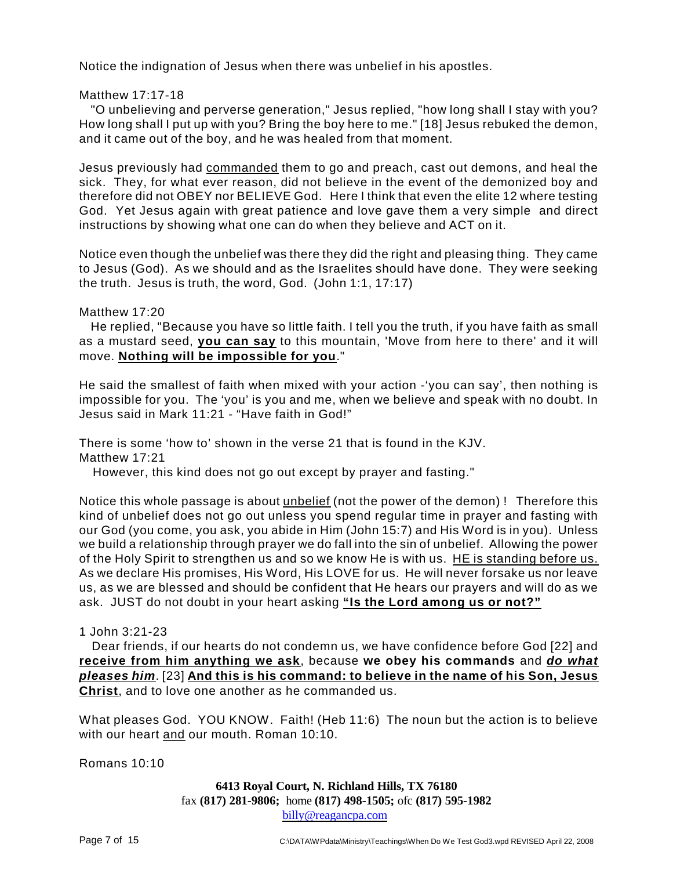Notice the indignation of Jesus when there was unbelief in his apostles.

Matthew 17:17-18

"O unbelieving and perverse generation," Jesus replied, "how long shall I stay with you? How long shall I put up with you? Bring the boy here to me." [18] Jesus rebuked the demon, and it came out of the boy, and he was healed from that moment.

Jesus previously had commanded them to go and preach, cast out demons, and heal the sick. They, for what ever reason, did not believe in the event of the demonized boy and therefore did not OBEY nor BELIEVE God. Here I think that even the elite 12 where testing God. Yet Jesus again with great patience and love gave them a very simple and direct instructions by showing what one can do when they believe and ACT on it.

Notice even though the unbelief was there they did the right and pleasing thing. They came to Jesus (God). As we should and as the Israelites should have done. They were seeking the truth. Jesus is truth, the word, God. (John 1:1, 17:17)

## Matthew 17:20

He replied, "Because you have so little faith. I tell you the truth, if you have faith as small as a mustard seed, **you can say** to this mountain, 'Move from here to there' and it will move. **Nothing will be impossible for you**."

He said the smallest of faith when mixed with your action -'you can say', then nothing is impossible for you. The 'you' is you and me, when we believe and speak with no doubt. In Jesus said in Mark 11:21 - "Have faith in God!"

There is some 'how to' shown in the verse 21 that is found in the KJV. Matthew 17:21

However, this kind does not go out except by prayer and fasting."

Notice this whole passage is about unbelief (not the power of the demon) ! Therefore this kind of unbelief does not go out unless you spend regular time in prayer and fasting with our God (you come, you ask, you abide in Him (John 15:7) and His Word is in you). Unless we build a relationship through prayer we do fall into the sin of unbelief. Allowing the power of the Holy Spirit to strengthen us and so we know He is with us. HE is standing before us. As we declare His promises, His Word, His LOVE for us. He will never forsake us nor leave us, as we are blessed and should be confident that He hears our prayers and will do as we ask. JUST do not doubt in your heart asking **"Is the Lord among us or not?"**

# 1 John 3:21-23

Dear friends, if our hearts do not condemn us, we have confidence before God [22] and **receive from him anything we ask**, because **we obey his commands** and *do what pleases him*. [23] **And this is his command: to believe in the name of his Son, Jesus Christ**, and to love one another as he commanded us.

What pleases God. YOU KNOW. Faith! (Heb 11:6) The noun but the action is to believe with our heart and our mouth. Roman 10:10.

Romans 10:10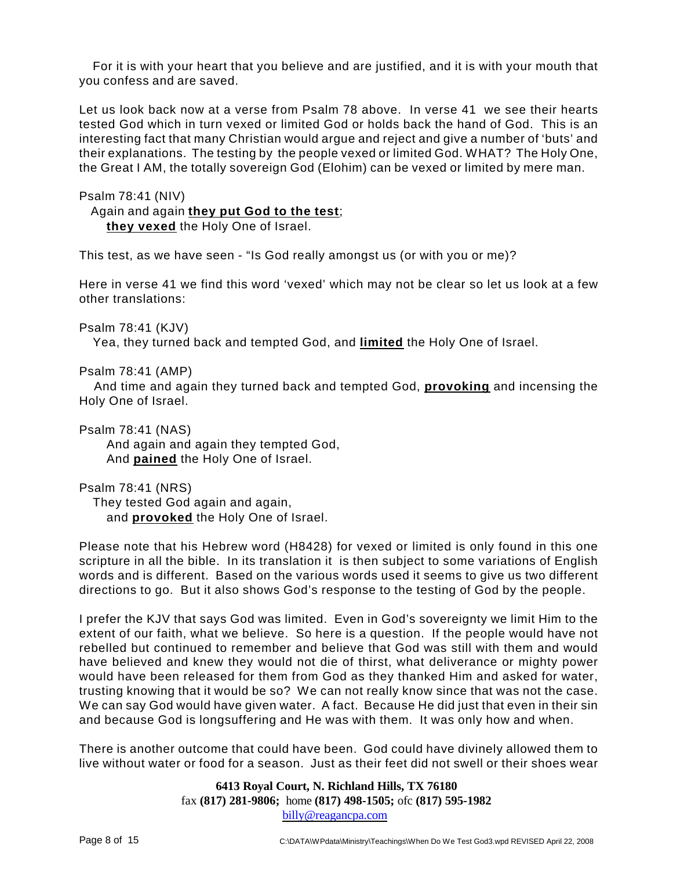For it is with your heart that you believe and are justified, and it is with your mouth that you confess and are saved.

Let us look back now at a verse from Psalm 78 above. In verse 41 we see their hearts tested God which in turn vexed or limited God or holds back the hand of God. This is an interesting fact that many Christian would argue and reject and give a number of 'buts' and their explanations. The testing by the people vexed or limited God. WHAT? The Holy One, the Great I AM, the totally sovereign God (Elohim) can be vexed or limited by mere man.

Psalm 78:41 (NIV)

Again and again **they put God to the test**;

**they vexed** the Holy One of Israel.

This test, as we have seen - "Is God really amongst us (or with you or me)?

Here in verse 41 we find this word 'vexed' which may not be clear so let us look at a few other translations:

Psalm 78:41 (KJV)

Yea, they turned back and tempted God, and **limited** the Holy One of Israel.

Psalm 78:41 (AMP)

And time and again they turned back and tempted God, **provoking** and incensing the Holy One of Israel.

Psalm 78:41 (NAS)

And again and again they tempted God, And **pained** the Holy One of Israel.

Psalm 78:41 (NRS)

They tested God again and again, and **provoked** the Holy One of Israel.

Please note that his Hebrew word (H8428) for vexed or limited is only found in this one scripture in all the bible. In its translation it is then subject to some variations of English words and is different. Based on the various words used it seems to give us two different directions to go. But it also shows God's response to the testing of God by the people.

I prefer the KJV that says God was limited. Even in God's sovereignty we limit Him to the extent of our faith, what we believe. So here is a question. If the people would have not rebelled but continued to remember and believe that God was still with them and would have believed and knew they would not die of thirst, what deliverance or mighty power would have been released for them from God as they thanked Him and asked for water, trusting knowing that it would be so? We can not really know since that was not the case. We can say God would have given water. A fact. Because He did just that even in their sin and because God is longsuffering and He was with them. It was only how and when.

There is another outcome that could have been. God could have divinely allowed them to live without water or food for a season. Just as their feet did not swell or their shoes wear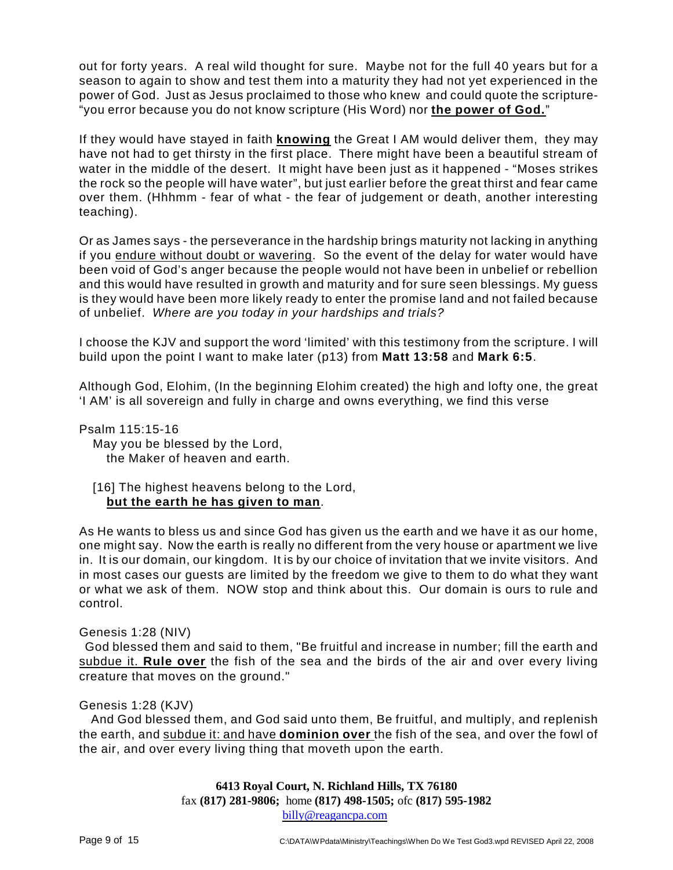out for forty years. A real wild thought for sure. Maybe not for the full 40 years but for a season to again to show and test them into a maturity they had not yet experienced in the power of God. Just as Jesus proclaimed to those who knew and could quote the scripture- "you error because you do not know scripture (His Word) nor **the power of God.**"

If they would have stayed in faith **knowing** the Great I AM would deliver them, they may have not had to get thirsty in the first place. There might have been a beautiful stream of water in the middle of the desert. It might have been just as it happened - "Moses strikes the rock so the people will have water", but just earlier before the great thirst and fear came over them. (Hhhmm - fear of what - the fear of judgement or death, another interesting teaching).

Or as James says - the perseverance in the hardship brings maturity not lacking in anything if you endure without doubt or wavering. So the event of the delay for water would have been void of God's anger because the people would not have been in unbelief or rebellion and this would have resulted in growth and maturity and for sure seen blessings. My guess is they would have been more likely ready to enter the promise land and not failed because of unbelief. *Where are you today in your hardships and trials?*

I choose the KJV and support the word 'limited' with this testimony from the scripture. I will build upon the point I want to make later (p13) from **Matt 13:58** and **Mark 6:5**.

Although God, Elohim, (In the beginning Elohim created) the high and lofty one, the great 'I AM' is all sovereign and fully in charge and owns everything, we find this verse

Psalm 115:15-16 May you be blessed by the Lord, the Maker of heaven and earth.

[16] The highest heavens belong to the Lord, **but the earth he has given to man**.

As He wants to bless us and since God has given us the earth and we have it as our home, one might say. Now the earth is really no different from the very house or apartment we live in. It is our domain, our kingdom. It is by our choice of invitation that we invite visitors. And in most cases our guests are limited by the freedom we give to them to do what they want or what we ask of them. NOW stop and think about this. Our domain is ours to rule and control.

## Genesis 1:28 (NIV)

God blessed them and said to them, "Be fruitful and increase in number; fill the earth and subdue it. **Rule over** the fish of the sea and the birds of the air and over every living creature that moves on the ground."

## Genesis 1:28 (KJV)

And God blessed them, and God said unto them, Be fruitful, and multiply, and replenish the earth, and subdue it: and have **dominion over** the fish of the sea, and over the fowl of the air, and over every living thing that moveth upon the earth.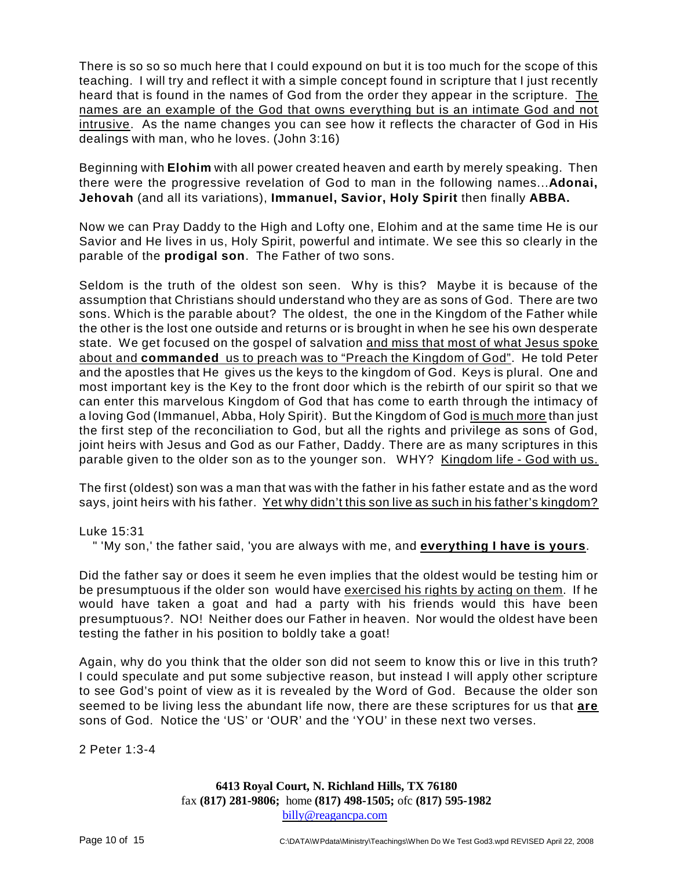There is so so so much here that I could expound on but it is too much for the scope of this teaching. I will try and reflect it with a simple concept found in scripture that I just recently heard that is found in the names of God from the order they appear in the scripture. The names are an example of the God that owns everything but is an intimate God and not intrusive. As the name changes you can see how it reflects the character of God in His dealings with man, who he loves. (John 3:16)

Beginning with **Elohim** with all power created heaven and earth by merely speaking. Then there were the progressive revelation of God to man in the following names...**Adonai, Jehovah** (and all its variations), **Immanuel, Savior, Holy Spirit** then finally **ABBA.**

Now we can Pray Daddy to the High and Lofty one, Elohim and at the same time He is our Savior and He lives in us, Holy Spirit, powerful and intimate. We see this so clearly in the parable of the **prodigal son**. The Father of two sons.

Seldom is the truth of the oldest son seen. Why is this? Maybe it is because of the assumption that Christians should understand who they are as sons of God. There are two sons. Which is the parable about? The oldest, the one in the Kingdom of the Father while the other is the lost one outside and returns or is brought in when he see his own desperate state. We get focused on the gospel of salvation and miss that most of what Jesus spoke about and **commanded** us to preach was to "Preach the Kingdom of God". He told Peter and the apostles that He gives us the keys to the kingdom of God. Keys is plural. One and most important key is the Key to the front door which is the rebirth of our spirit so that we can enter this marvelous Kingdom of God that has come to earth through the intimacy of a loving God (Immanuel, Abba, Holy Spirit). But the Kingdom of God is much more than just the first step of the reconciliation to God, but all the rights and privilege as sons of God, joint heirs with Jesus and God as our Father, Daddy. There are as many scriptures in this parable given to the older son as to the younger son. WHY? Kingdom life - God with us.

The first (oldest) son was a man that was with the father in his father estate and as the word says, joint heirs with his father. Yet why didn't this son live as such in his father's kingdom?

Luke 15:31

" 'My son,' the father said, 'you are always with me, and **everything I have is yours**.

Did the father say or does it seem he even implies that the oldest would be testing him or be presumptuous if the older son would have exercised his rights by acting on them. If he would have taken a goat and had a party with his friends would this have been presumptuous?. NO! Neither does our Father in heaven. Nor would the oldest have been testing the father in his position to boldly take a goat!

Again, why do you think that the older son did not seem to know this or live in this truth? I could speculate and put some subjective reason, but instead I will apply other scripture to see God's point of view as it is revealed by the Word of God. Because the older son seemed to be living less the abundant life now, there are these scriptures for us that **are** sons of God. Notice the 'US' or 'OUR' and the 'YOU' in these next two verses.

2 Peter 1:3-4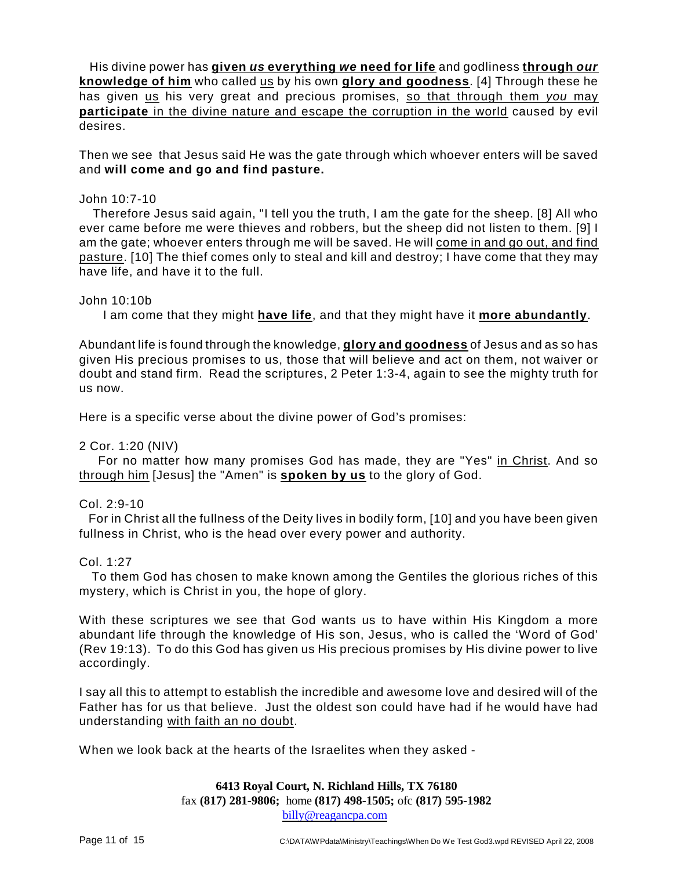His divine power has **given** *us* **everything** *we* **need for life** and godliness **through** *our* **knowledge of him** who called us by his own **glory and goodness**. [4] Through these he has given us his very great and precious promises, so that through them *you* may **participate** in the divine nature and escape the corruption in the world caused by evil desires.

Then we see that Jesus said He was the gate through which whoever enters will be saved and **will come and go and find pasture.**

## John 10:7-10

Therefore Jesus said again, "I tell you the truth, I am the gate for the sheep. [8] All who ever came before me were thieves and robbers, but the sheep did not listen to them. [9] I am the gate; whoever enters through me will be saved. He will come in and go out, and find pasture. [10] The thief comes only to steal and kill and destroy; I have come that they may have life, and have it to the full.

#### John 10:10b

I am come that they might **have life**, and that they might have it **more abundantly**.

Abundant life is found through the knowledge, **glory and goodness** of Jesus and as so has given His precious promises to us, those that will believe and act on them, not waiver or doubt and stand firm. Read the scriptures, 2 Peter 1:3-4, again to see the mighty truth for us now.

Here is a specific verse about the divine power of God's promises:

## 2 Cor. 1:20 (NIV)

For no matter how many promises God has made, they are "Yes" in Christ. And so through him [Jesus] the "Amen" is **spoken by us** to the glory of God.

#### Col. 2:9-10

For in Christ all the fullness of the Deity lives in bodily form, [10] and you have been given fullness in Christ, who is the head over every power and authority.

#### Col. 1:27

To them God has chosen to make known among the Gentiles the glorious riches of this mystery, which is Christ in you, the hope of glory.

With these scriptures we see that God wants us to have within His Kingdom a more abundant life through the knowledge of His son, Jesus, who is called the 'Word of God' (Rev 19:13). To do this God has given us His precious promises by His divine power to live accordingly.

I say all this to attempt to establish the incredible and awesome love and desired will of the Father has for us that believe. Just the oldest son could have had if he would have had understanding with faith an no doubt.

When we look back at the hearts of the Israelites when they asked -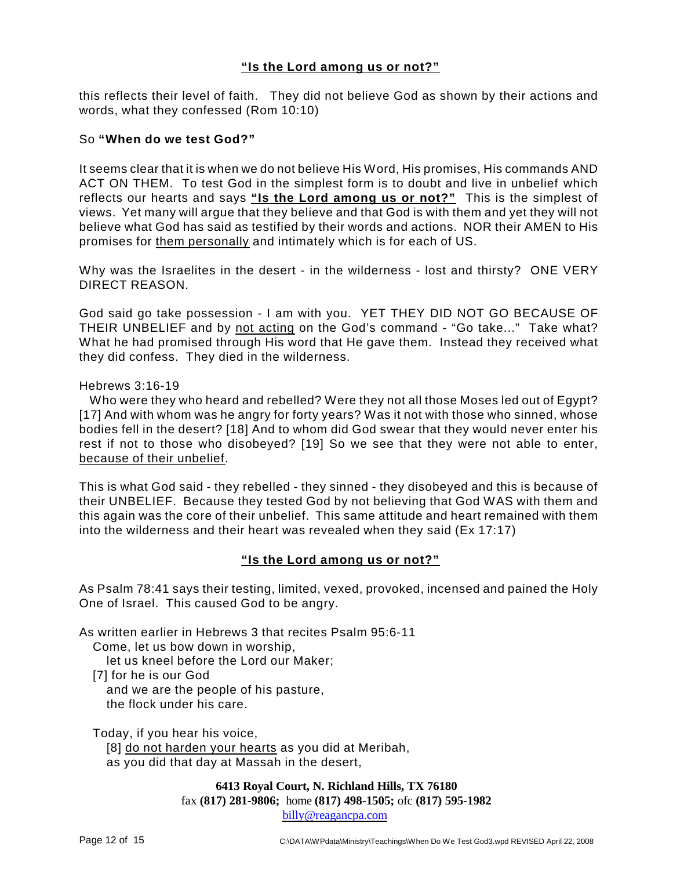# **"Is the Lord among us or not?"**

this reflects their level of faith. They did not believe God as shown by their actions and words, what they confessed (Rom 10:10)

#### So **"When do we test God?"**

It seems clear that it is when we do not believe His Word, His promises, His commands AND ACT ON THEM. To test God in the simplest form is to doubt and live in unbelief which reflects our hearts and says **"Is the Lord among us or not?"** This is the simplest of views. Yet many will argue that they believe and that God is with them and yet they will not believe what God has said as testified by their words and actions. NOR their AMEN to His promises for them personally and intimately which is for each of US.

Why was the Israelites in the desert - in the wilderness - lost and thirsty? ONE VERY DIRECT REASON.

God said go take possession - I am with you. YET THEY DID NOT GO BECAUSE OF THEIR UNBELIEF and by not acting on the God's command - "Go take..." Take what? What he had promised through His word that He gave them. Instead they received what they did confess. They died in the wilderness.

#### Hebrews 3:16-19

Who were they who heard and rebelled? Were they not all those Moses led out of Egypt? [17] And with whom was he angry for forty years? Was it not with those who sinned, whose bodies fell in the desert? [18] And to whom did God swear that they would never enter his rest if not to those who disobeyed? [19] So we see that they were not able to enter, because of their unbelief.

This is what God said - they rebelled - they sinned - they disobeyed and this is because of their UNBELIEF. Because they tested God by not believing that God WAS with them and this again was the core of their unbelief. This same attitude and heart remained with them into the wilderness and their heart was revealed when they said (Ex 17:17)

## **"Is the Lord among us or not?"**

As Psalm 78:41 says their testing, limited, vexed, provoked, incensed and pained the Holy One of Israel. This caused God to be angry.

As written earlier in Hebrews 3 that recites Psalm 95:6-11

Come, let us bow down in worship,

let us kneel before the Lord our Maker;

[7] for he is our God

and we are the people of his pasture, the flock under his care.

Today, if you hear his voice,

[8] do not harden your hearts as you did at Meribah, as you did that day at Massah in the desert,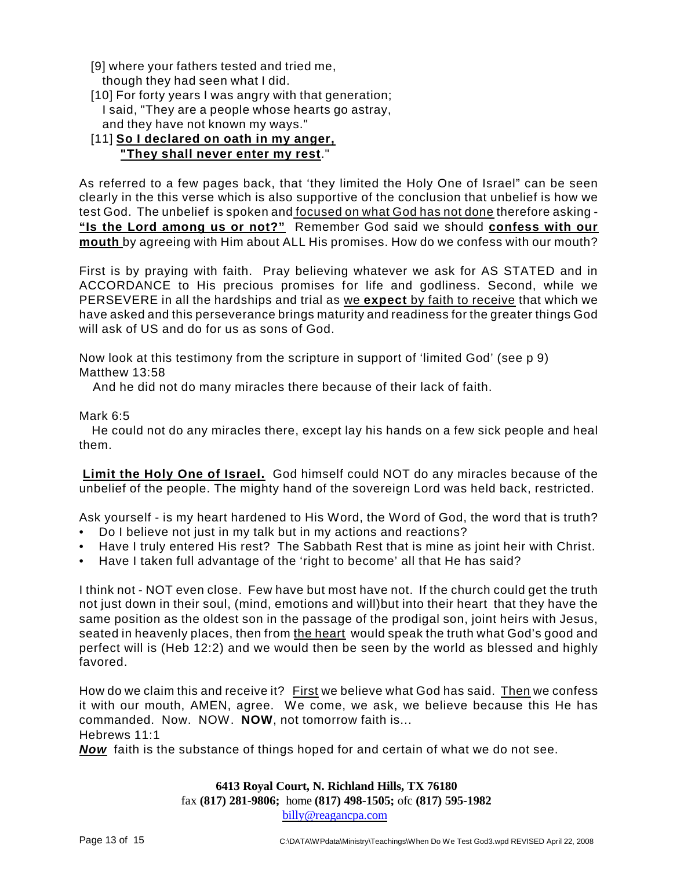- [9] where your fathers tested and tried me, though they had seen what I did.
- [10] For forty years I was angry with that generation; I said, "They are a people whose hearts go astray, and they have not known my ways."

# [11] **So I declared on oath in my anger, "They shall never enter my rest**."

As referred to a few pages back, that 'they limited the Holy One of Israel" can be seen clearly in the this verse which is also supportive of the conclusion that unbelief is how we test God. The unbelief is spoken and focused on what God has not done therefore asking -**"Is the Lord among us or not?"** Remember God said we should **confess with our mouth** by agreeing with Him about ALL His promises. How do we confess with our mouth?

First is by praying with faith. Pray believing whatever we ask for AS STATED and in ACCORDANCE to His precious promises for life and godliness. Second, while we PERSEVERE in all the hardships and trial as we **expect** by faith to receive that which we have asked and this perseverance brings maturity and readiness for the greater things God will ask of US and do for us as sons of God.

Now look at this testimony from the scripture in support of 'limited God' (see p 9) Matthew 13:58

And he did not do many miracles there because of their lack of faith.

# Mark 6:5

He could not do any miracles there, except lay his hands on a few sick people and heal them.

**Limit the Holy One of Israel.** God himself could NOT do any miracles because of the unbelief of the people. The mighty hand of the sovereign Lord was held back, restricted.

Ask yourself - is my heart hardened to His Word, the Word of God, the word that is truth?

- Do I believe not just in my talk but in my actions and reactions?
- Have I truly entered His rest? The Sabbath Rest that is mine as joint heir with Christ.
- Have I taken full advantage of the 'right to become' all that He has said?

I think not - NOT even close. Few have but most have not. If the church could get the truth not just down in their soul, (mind, emotions and will)but into their heart that they have the same position as the oldest son in the passage of the prodigal son, joint heirs with Jesus, seated in heavenly places, then from the heart would speak the truth what God's good and perfect will is (Heb 12:2) and we would then be seen by the world as blessed and highly favored.

How do we claim this and receive it? First we believe what God has said. Then we confess it with our mouth, AMEN, agree. We come, we ask, we believe because this He has commanded. Now. NOW. **NOW**, not tomorrow faith is... Hebrews 11:1

*Now* faith is the substance of things hoped for and certain of what we do not see.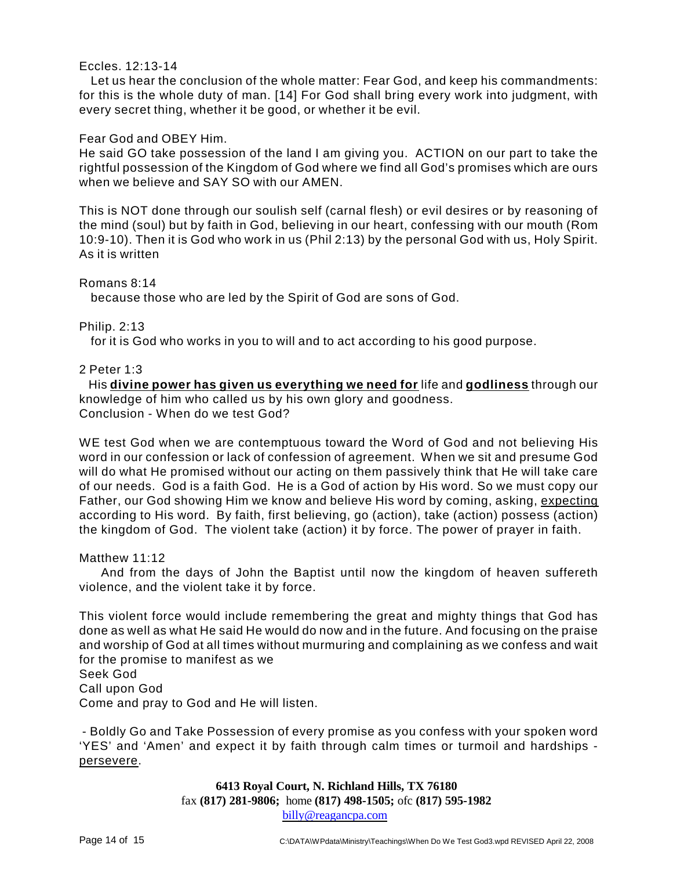#### Eccles. 12:13-14

Let us hear the conclusion of the whole matter: Fear God, and keep his commandments: for this is the whole duty of man. [14] For God shall bring every work into judgment, with every secret thing, whether it be good, or whether it be evil.

#### Fear God and OBEY Him.

He said GO take possession of the land I am giving you. ACTION on our part to take the rightful possession of the Kingdom of God where we find all God's promises which are ours when we believe and SAY SO with our AMEN.

This is NOT done through our soulish self (carnal flesh) or evil desires or by reasoning of the mind (soul) but by faith in God, believing in our heart, confessing with our mouth (Rom 10:9-10). Then it is God who work in us (Phil 2:13) by the personal God with us, Holy Spirit. As it is written

#### Romans 8:14

because those who are led by the Spirit of God are sons of God.

#### Philip. 2:13

for it is God who works in you to will and to act according to his good purpose.

#### 2 Peter 1:3

His **divine power has given us everything we need for** life and **godliness** through our knowledge of him who called us by his own glory and goodness. Conclusion - When do we test God?

WE test God when we are contemptuous toward the Word of God and not believing His word in our confession or lack of confession of agreement. When we sit and presume God will do what He promised without our acting on them passively think that He will take care of our needs. God is a faith God. He is a God of action by His word. So we must copy our Father, our God showing Him we know and believe His word by coming, asking, expecting according to His word. By faith, first believing, go (action), take (action) possess (action) the kingdom of God. The violent take (action) it by force. The power of prayer in faith.

#### Matthew 11:12

And from the days of John the Baptist until now the kingdom of heaven suffereth violence, and the violent take it by force.

This violent force would include remembering the great and mighty things that God has done as well as what He said He would do now and in the future. And focusing on the praise and worship of God at all times without murmuring and complaining as we confess and wait for the promise to manifest as we Seek God Call upon God

Come and pray to God and He will listen.

- Boldly Go and Take Possession of every promise as you confess with your spoken word 'YES' and 'Amen' and expect it by faith through calm times or turmoil and hardships persevere.